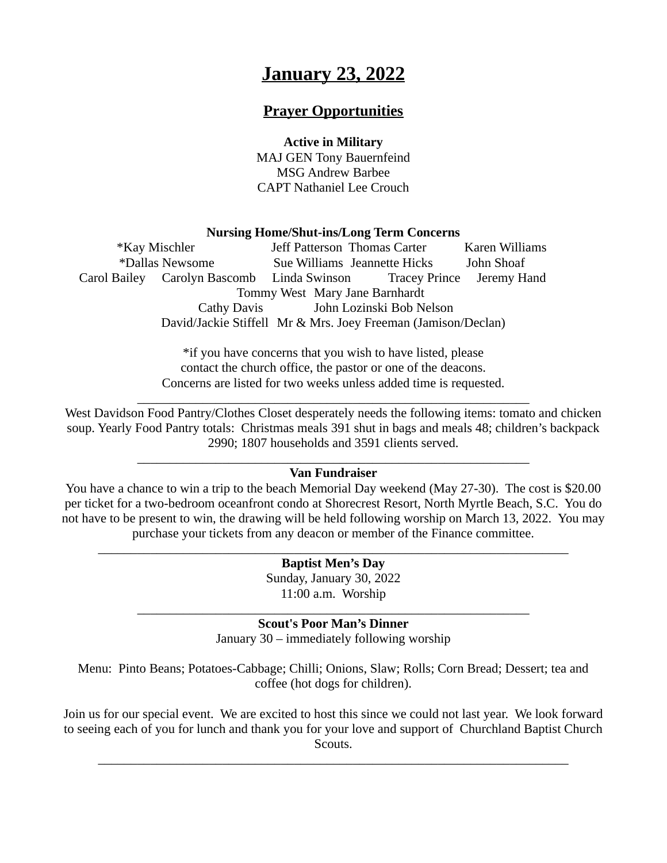# **January 23, 2022**

# **Prayer Opportunities**

#### **Active in Military**

MAJ GEN Tony Bauernfeind MSG Andrew Barbee CAPT Nathaniel Lee Crouch

#### **Nursing Home/Shut-ins/Long Term Concerns**

\*Kay Mischler Jeff Patterson Thomas Carter Karen Williams \*Dallas Newsome Sue Williams Jeannette Hicks John Shoaf Carol Bailey Carolyn Bascomb Linda Swinson Tracey Prince Jeremy Hand Tommy West Mary Jane Barnhardt Cathy Davis John Lozinski Bob Nelson David/Jackie Stiffell Mr & Mrs. Joey Freeman (Jamison/Declan)

> \*if you have concerns that you wish to have listed, please contact the church office, the pastor or one of the deacons. Concerns are listed for two weeks unless added time is requested.

West Davidson Food Pantry/Clothes Closet desperately needs the following items: tomato and chicken soup. Yearly Food Pantry totals: Christmas meals 391 shut in bags and meals 48; children's backpack 2990; 1807 households and 3591 clients served.

 $\_$  , and the set of the set of the set of the set of the set of the set of the set of the set of the set of the set of the set of the set of the set of the set of the set of the set of the set of the set of the set of th

#### $\_$  , and the set of the set of the set of the set of the set of the set of the set of the set of the set of the set of the set of the set of the set of the set of the set of the set of the set of the set of the set of th **Van Fundraiser**

You have a chance to win a trip to the beach Memorial Day weekend (May 27-30). The cost is \$20.00 per ticket for a two-bedroom oceanfront condo at Shorecrest Resort, North Myrtle Beach, S.C. You do not have to be present to win, the drawing will be held following worship on March 13, 2022. You may purchase your tickets from any deacon or member of the Finance committee.

> **Baptist Men's Day** Sunday, January 30, 2022 11:00 a.m. Worship

 $\_$  , and the set of the set of the set of the set of the set of the set of the set of the set of the set of the set of the set of the set of the set of the set of the set of the set of the set of the set of the set of th

#### $\_$  , and the set of the set of the set of the set of the set of the set of the set of the set of the set of the set of the set of the set of the set of the set of the set of the set of the set of the set of the set of th **Scout's Poor Man's Dinner**

January 30 – immediately following worship

Menu: Pinto Beans; Potatoes-Cabbage; Chilli; Onions, Slaw; Rolls; Corn Bread; Dessert; tea and coffee (hot dogs for children).

Join us for our special event. We are excited to host this since we could not last year. We look forward to seeing each of you for lunch and thank you for your love and support of Churchland Baptist Church Scouts.

 $\_$  , and the set of the set of the set of the set of the set of the set of the set of the set of the set of the set of the set of the set of the set of the set of the set of the set of the set of the set of the set of th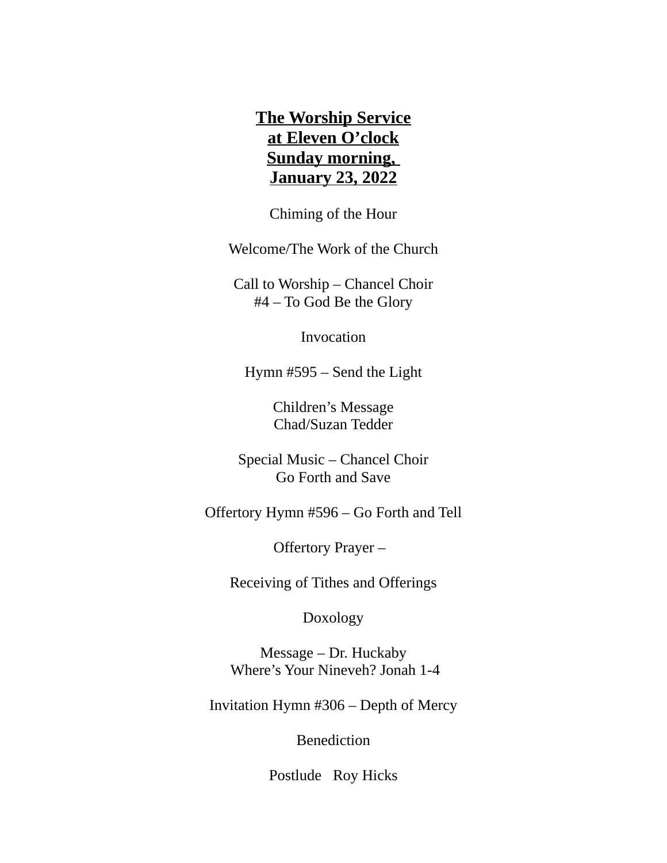# **The Worship Service at Eleven O'clock Sunday morning, January 23, 2022**

Chiming of the Hour

Welcome/The Work of the Church

Call to Worship – Chancel Choir #4 – To God Be the Glory

Invocation

Hymn #595 – Send the Light

Children's Message Chad/Suzan Tedder

Special Music – Chancel Choir Go Forth and Save

Offertory Hymn #596 – Go Forth and Tell

Offertory Prayer –

Receiving of Tithes and Offerings

Doxology

Message – Dr. Huckaby Where's Your Nineveh? Jonah 1-4

Invitation Hymn #306 – Depth of Mercy

Benediction

Postlude Roy Hicks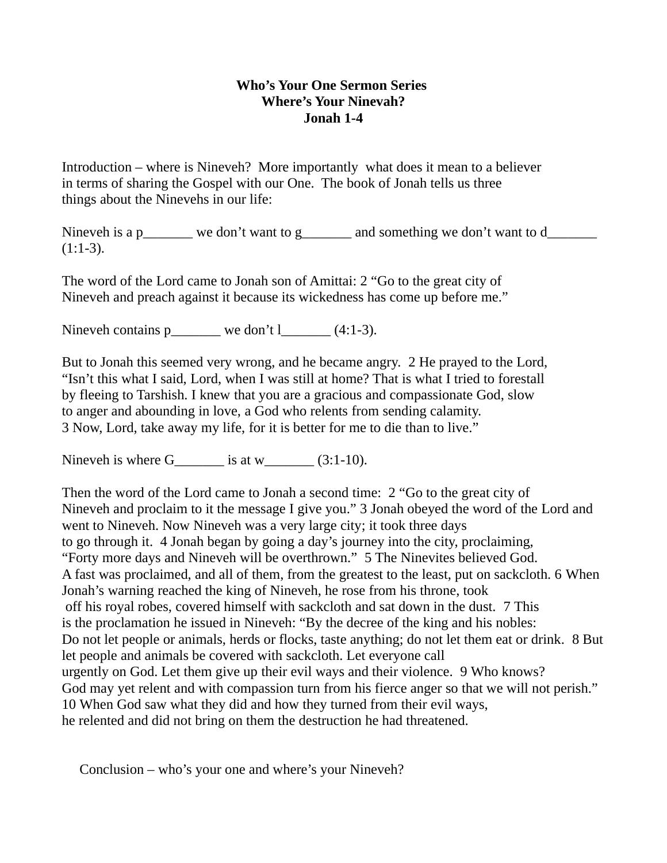## **Who's Your One Sermon Series Where's Your Ninevah? Jonah 1-4**

Introduction – where is Nineveh? More importantly what does it mean to a believer in terms of sharing the Gospel with our One. The book of Jonah tells us three things about the Ninevehs in our life:

Nineveh is a p\_\_\_\_\_\_\_ we don't want to g\_\_\_\_\_\_\_ and something we don't want to d\_\_\_\_\_\_\_  $(1:1-3).$ 

The word of the Lord came to Jonah son of Amittai: 2 "Go to the great city of Nineveh and preach against it because its wickedness has come up before me."

Nineveh contains p  $\qquad \qquad$  we don't l  $(4:1-3)$ .

But to Jonah this seemed very wrong, and he became angry. 2 He prayed to the Lord, "Isn't this what I said, Lord, when I was still at home? That is what I tried to forestall by fleeing to Tarshish. I knew that you are a gracious and compassionate God, slow to anger and abounding in love, a God who relents from sending calamity. 3 Now, Lord, take away my life, for it is better for me to die than to live."

Nineveh is where  $G$  is at w\_\_\_\_\_\_ (3:1-10).

Then the word of the Lord came to Jonah a second time: 2 "Go to the great city of Nineveh and proclaim to it the message I give you." 3 Jonah obeyed the word of the Lord and went to Nineveh. Now Nineveh was a very large city; it took three days to go through it. 4 Jonah began by going a day's journey into the city, proclaiming, "Forty more days and Nineveh will be overthrown." 5 The Ninevites believed God. A fast was proclaimed, and all of them, from the greatest to the least, put on sackcloth. 6 When Jonah's warning reached the king of Nineveh, he rose from his throne, took off his royal robes, covered himself with sackcloth and sat down in the dust. 7 This is the proclamation he issued in Nineveh: "By the decree of the king and his nobles: Do not let people or animals, herds or flocks, taste anything; do not let them eat or drink. 8 But let people and animals be covered with sackcloth. Let everyone call urgently on God. Let them give up their evil ways and their violence. 9 Who knows? God may yet relent and with compassion turn from his fierce anger so that we will not perish." 10 When God saw what they did and how they turned from their evil ways, he relented and did not bring on them the destruction he had threatened.

Conclusion – who's your one and where's your Nineveh?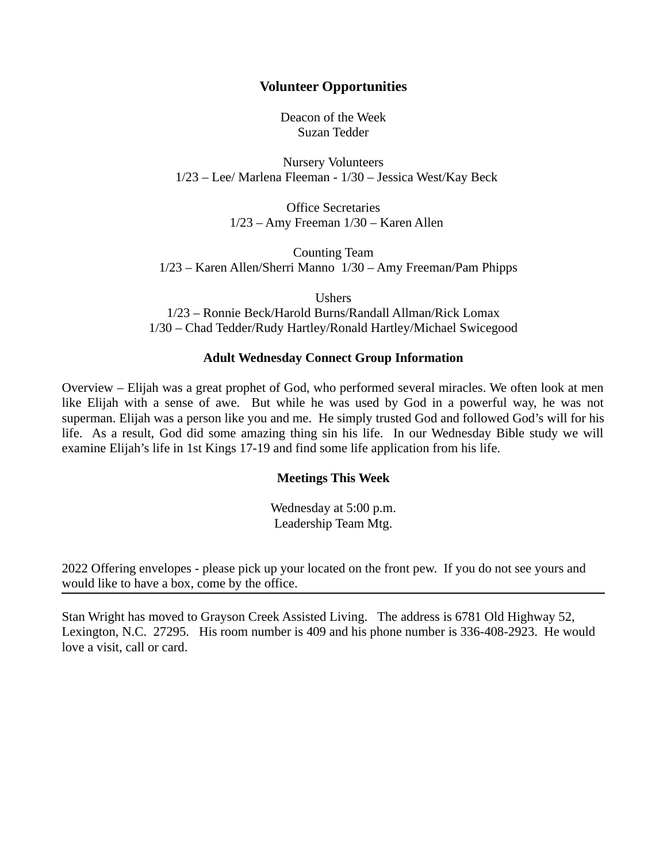### **Volunteer Opportunities**

Deacon of the Week Suzan Tedder

Nursery Volunteers 1/23 – Lee/ Marlena Fleeman - 1/30 – Jessica West/Kay Beck

> Office Secretaries 1/23 – Amy Freeman 1/30 – Karen Allen

Counting Team 1/23 – Karen Allen/Sherri Manno 1/30 – Amy Freeman/Pam Phipps

Ushers

1/23 – Ronnie Beck/Harold Burns/Randall Allman/Rick Lomax 1/30 – Chad Tedder/Rudy Hartley/Ronald Hartley/Michael Swicegood

#### **Adult Wednesday Connect Group Information**

Overview – Elijah was a great prophet of God, who performed several miracles. We often look at men like Elijah with a sense of awe. But while he was used by God in a powerful way, he was not superman. Elijah was a person like you and me. He simply trusted God and followed God's will for his life. As a result, God did some amazing thing sin his life. In our Wednesday Bible study we will examine Elijah's life in 1st Kings 17-19 and find some life application from his life.

#### **Meetings This Week**

Wednesday at 5:00 p.m. Leadership Team Mtg.

2022 Offering envelopes - please pick up your located on the front pew. If you do not see yours and would like to have a box, come by the office.

Stan Wright has moved to Grayson Creek Assisted Living. The address is 6781 Old Highway 52, Lexington, N.C. 27295. His room number is 409 and his phone number is 336-408-2923. He would love a visit, call or card.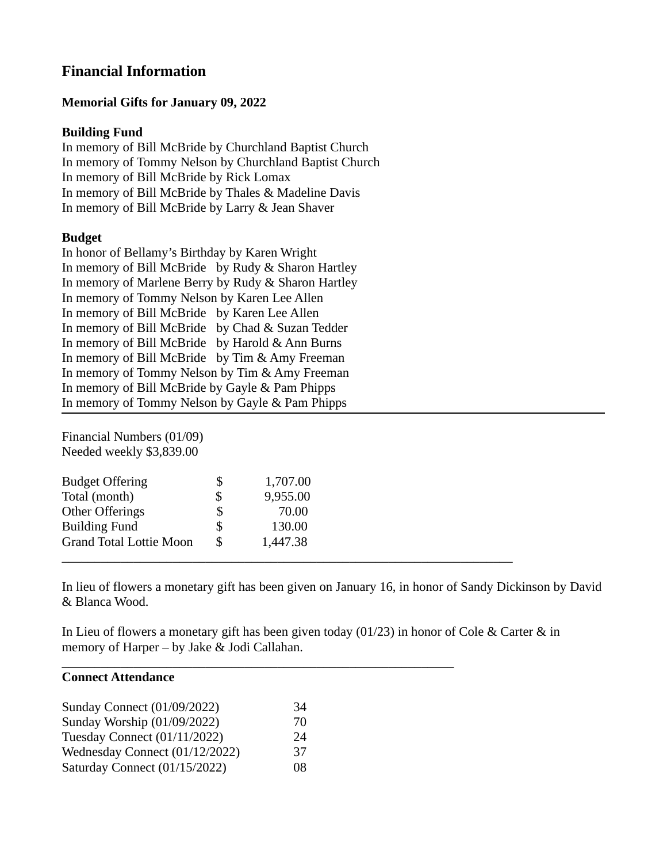# **Financial Information**

## **Memorial Gifts for January 09, 2022**

## **Building Fund**

In memory of Bill McBride by Churchland Baptist Church In memory of Tommy Nelson by Churchland Baptist Church In memory of Bill McBride by Rick Lomax In memory of Bill McBride by Thales & Madeline Davis In memory of Bill McBride by Larry & Jean Shaver

### **Budget**

In honor of Bellamy's Birthday by Karen Wright In memory of Bill McBride by Rudy & Sharon Hartley In memory of Marlene Berry by Rudy & Sharon Hartley In memory of Tommy Nelson by Karen Lee Allen In memory of Bill McBride by Karen Lee Allen In memory of Bill McBride by Chad & Suzan Tedder In memory of Bill McBride by Harold & Ann Burns In memory of Bill McBride by Tim & Amy Freeman In memory of Tommy Nelson by Tim & Amy Freeman In memory of Bill McBride by Gayle & Pam Phipps In memory of Tommy Nelson by Gayle & Pam Phipps

Financial Numbers (01/09) Needed weekly \$3,839.00

| <b>Budget Offering</b>         | \$ | 1,707.00 |  |  |
|--------------------------------|----|----------|--|--|
| Total (month)                  | \$ | 9,955.00 |  |  |
| Other Offerings                | \$ | 70.00    |  |  |
| <b>Building Fund</b>           | \$ | 130.00   |  |  |
| <b>Grand Total Lottie Moon</b> | S  | 1,447.38 |  |  |
|                                |    |          |  |  |

In lieu of flowers a monetary gift has been given on January 16, in honor of Sandy Dickinson by David & Blanca Wood.

In Lieu of flowers a monetary gift has been given today (01/23) in honor of Cole & Carter & in memory of Harper – by Jake & Jodi Callahan.

 $\_$  . The contribution of the contribution of  $\mathcal{L}_\mathcal{A}$  ,  $\mathcal{L}_\mathcal{A}$  ,  $\mathcal{L}_\mathcal{A}$  ,  $\mathcal{L}_\mathcal{A}$  ,  $\mathcal{L}_\mathcal{A}$  ,  $\mathcal{L}_\mathcal{A}$  ,  $\mathcal{L}_\mathcal{A}$  ,  $\mathcal{L}_\mathcal{A}$  ,  $\mathcal{L}_\mathcal{A}$  ,  $\mathcal{L}_\mathcal{A}$  ,  $\mathcal{$ 

#### **Connect Attendance**

| <b>Sunday Connect (01/09/2022)</b> | 34 |
|------------------------------------|----|
| Sunday Worship (01/09/2022)        | 70 |
| Tuesday Connect (01/11/2022)       | 24 |
| Wednesday Connect (01/12/2022)     | 37 |
| Saturday Connect (01/15/2022)      | 08 |